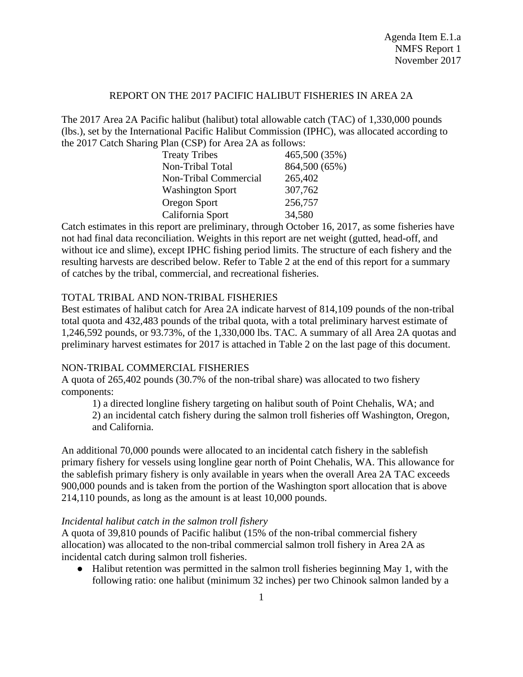### REPORT ON THE 2017 PACIFIC HALIBUT FISHERIES IN AREA 2A

The 2017 Area 2A Pacific halibut (halibut) total allowable catch (TAC) of 1,330,000 pounds (lbs.), set by the International Pacific Halibut Commission (IPHC), was allocated according to the 2017 Catch Sharing Plan (CSP) for Area 2A as follows:

| <b>Treaty Tribes</b>         | 465,500 (35%) |
|------------------------------|---------------|
| Non-Tribal Total             | 864,500 (65%) |
| <b>Non-Tribal Commercial</b> | 265,402       |
| <b>Washington Sport</b>      | 307,762       |
| Oregon Sport                 | 256,757       |
| California Sport             | 34,580        |

Catch estimates in this report are preliminary, through October 16, 2017, as some fisheries have not had final data reconciliation. Weights in this report are net weight (gutted, head-off, and without ice and slime), except IPHC fishing period limits. The structure of each fishery and the resulting harvests are described below. Refer to Table 2 at the end of this report for a summary of catches by the tribal, commercial, and recreational fisheries.

### TOTAL TRIBAL AND NON-TRIBAL FISHERIES

Best estimates of halibut catch for Area 2A indicate harvest of 814,109 pounds of the non-tribal total quota and 432,483 pounds of the tribal quota, with a total preliminary harvest estimate of 1,246,592 pounds, or 93.73%, of the 1,330,000 lbs. TAC. A summary of all Area 2A quotas and preliminary harvest estimates for 2017 is attached in Table 2 on the last page of this document.

# NON-TRIBAL COMMERCIAL FISHERIES

A quota of 265,402 pounds (30.7% of the non-tribal share) was allocated to two fishery components:

1) a directed longline fishery targeting on halibut south of Point Chehalis, WA; and 2) an incidental catch fishery during the salmon troll fisheries off Washington, Oregon, and California.

An additional 70,000 pounds were allocated to an incidental catch fishery in the sablefish primary fishery for vessels using longline gear north of Point Chehalis, WA. This allowance for the sablefish primary fishery is only available in years when the overall Area 2A TAC exceeds 900,000 pounds and is taken from the portion of the Washington sport allocation that is above 214,110 pounds, as long as the amount is at least 10,000 pounds.

### *Incidental halibut catch in the salmon troll fishery*

A quota of 39,810 pounds of Pacific halibut (15% of the non-tribal commercial fishery allocation) was allocated to the non-tribal commercial salmon troll fishery in Area 2A as incidental catch during salmon troll fisheries.

● Halibut retention was permitted in the salmon troll fisheries beginning May 1, with the following ratio: one halibut (minimum 32 inches) per two Chinook salmon landed by a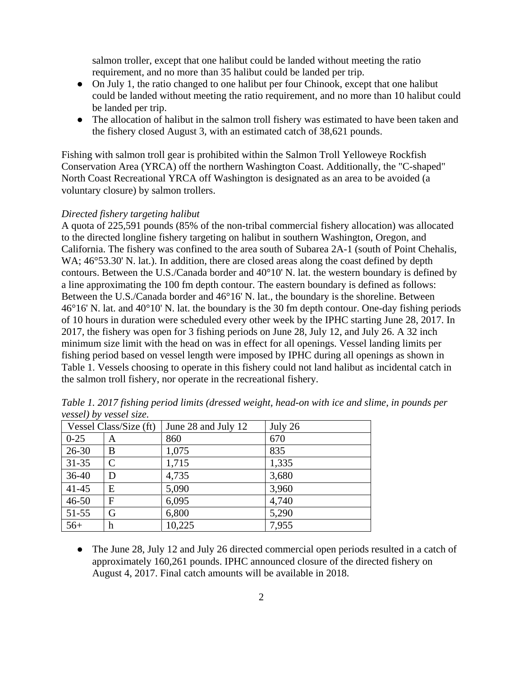salmon troller, except that one halibut could be landed without meeting the ratio requirement, and no more than 35 halibut could be landed per trip.

- On July 1, the ratio changed to one halibut per four Chinook, except that one halibut could be landed without meeting the ratio requirement, and no more than 10 halibut could be landed per trip.
- The allocation of halibut in the salmon troll fishery was estimated to have been taken and the fishery closed August 3, with an estimated catch of 38,621 pounds.

Fishing with salmon troll gear is prohibited within the Salmon Troll Yelloweye Rockfish Conservation Area (YRCA) off the northern Washington Coast. Additionally, the "C-shaped" North Coast Recreational YRCA off Washington is designated as an area to be avoided (a voluntary closure) by salmon trollers.

#### *Directed fishery targeting halibut*

A quota of 225,591 pounds (85% of the non-tribal commercial fishery allocation) was allocated to the directed longline fishery targeting on halibut in southern Washington, Oregon, and California. The fishery was confined to the area south of Subarea 2A-1 (south of Point Chehalis, WA;  $46^{\circ}53.30'$  N. lat.). In addition, there are closed areas along the coast defined by depth contours. Between the U.S./Canada border and 40°10' N. lat. the western boundary is defined by a line approximating the 100 fm depth contour. The eastern boundary is defined as follows: Between the U.S./Canada border and 46°16' N. lat., the boundary is the shoreline. Between 46°16' N. lat. and 40°10' N. lat. the boundary is the 30 fm depth contour. One-day fishing periods of 10 hours in duration were scheduled every other week by the IPHC starting June 28, 2017. In 2017, the fishery was open for 3 fishing periods on June 28, July 12, and July 26. A 32 inch minimum size limit with the head on was in effect for all openings. Vessel landing limits per fishing period based on vessel length were imposed by IPHC during all openings as shown in Table 1. Vessels choosing to operate in this fishery could not land halibut as incidental catch in the salmon troll fishery, nor operate in the recreational fishery.

| Vessel Class/Size (ft) |               | June 28 and July 12 | July 26 |
|------------------------|---------------|---------------------|---------|
| $0 - 25$               | A             | 860                 | 670     |
| $26 - 30$              | B             | 1,075               | 835     |
| $31 - 35$              | $\mathcal{C}$ | 1,715               | 1,335   |
| $36-40$                | D             | 4,735               | 3,680   |
| $41 - 45$              | E             | 5,090               | 3,960   |
| $46 - 50$              | F             | 6,095               | 4,740   |
| 51-55                  | G             | 6,800               | 5,290   |
| $56+$                  | h             | 10,225              | 7,955   |

*Table 1. 2017 fishing period limits (dressed weight, head-on with ice and slime, in pounds per vessel) by vessel size.* 

• The June 28, July 12 and July 26 directed commercial open periods resulted in a catch of approximately 160,261 pounds. IPHC announced closure of the directed fishery on August 4, 2017. Final catch amounts will be available in 2018.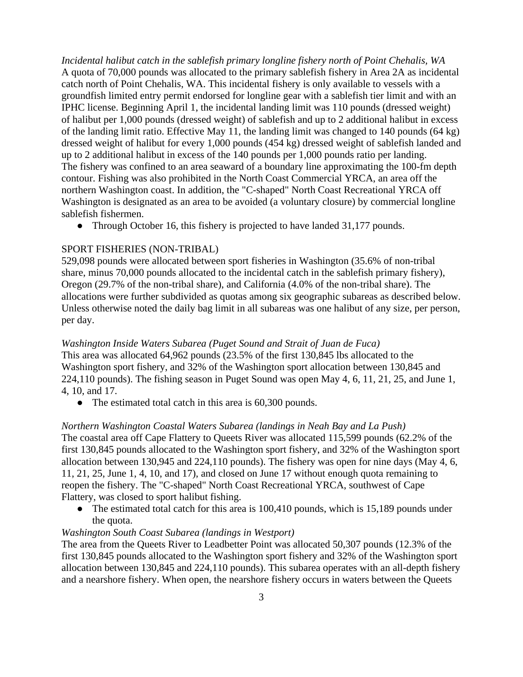*Incidental halibut catch in the sablefish primary longline fishery north of Point Chehalis, WA* A quota of 70,000 pounds was allocated to the primary sablefish fishery in Area 2A as incidental catch north of Point Chehalis, WA. This incidental fishery is only available to vessels with a groundfish limited entry permit endorsed for longline gear with a sablefish tier limit and with an IPHC license. Beginning April 1, the incidental landing limit was 110 pounds (dressed weight) of halibut per 1,000 pounds (dressed weight) of sablefish and up to 2 additional halibut in excess of the landing limit ratio. Effective May 11, the landing limit was changed to 140 pounds (64 kg) dressed weight of halibut for every 1,000 pounds (454 kg) dressed weight of sablefish landed and up to 2 additional halibut in excess of the 140 pounds per 1,000 pounds ratio per landing. The fishery was confined to an area seaward of a boundary line approximating the 100-fm depth contour. Fishing was also prohibited in the North Coast Commercial YRCA, an area off the northern Washington coast. In addition, the "C-shaped" North Coast Recreational YRCA off Washington is designated as an area to be avoided (a voluntary closure) by commercial longline sablefish fishermen.

• Through October 16, this fishery is projected to have landed 31,177 pounds.

### SPORT FISHERIES (NON-TRIBAL)

529,098 pounds were allocated between sport fisheries in Washington (35.6% of non-tribal share, minus 70,000 pounds allocated to the incidental catch in the sablefish primary fishery), Oregon (29.7% of the non-tribal share), and California (4.0% of the non-tribal share). The allocations were further subdivided as quotas among six geographic subareas as described below. Unless otherwise noted the daily bag limit in all subareas was one halibut of any size, per person, per day.

### *Washington Inside Waters Subarea (Puget Sound and Strait of Juan de Fuca)*

This area was allocated 64,962 pounds (23.5% of the first 130,845 lbs allocated to the Washington sport fishery, and 32% of the Washington sport allocation between 130,845 and 224,110 pounds). The fishing season in Puget Sound was open May 4, 6, 11, 21, 25, and June 1, 4, 10, and 17.

• The estimated total catch in this area is 60,300 pounds.

### *Northern Washington Coastal Waters Subarea (landings in Neah Bay and La Push)*

The coastal area off Cape Flattery to Queets River was allocated 115,599 pounds (62.2% of the first 130,845 pounds allocated to the Washington sport fishery, and 32% of the Washington sport allocation between 130,945 and 224,110 pounds). The fishery was open for nine days (May 4, 6, 11, 21, 25, June 1, 4, 10, and 17), and closed on June 17 without enough quota remaining to reopen the fishery. The "C-shaped" North Coast Recreational YRCA, southwest of Cape Flattery, was closed to sport halibut fishing.

• The estimated total catch for this area is 100,410 pounds, which is 15,189 pounds under the quota.

### *Washington South Coast Subarea (landings in Westport)*

The area from the Queets River to Leadbetter Point was allocated 50,307 pounds (12.3% of the first 130,845 pounds allocated to the Washington sport fishery and 32% of the Washington sport allocation between 130,845 and 224,110 pounds). This subarea operates with an all-depth fishery and a nearshore fishery. When open, the nearshore fishery occurs in waters between the Queets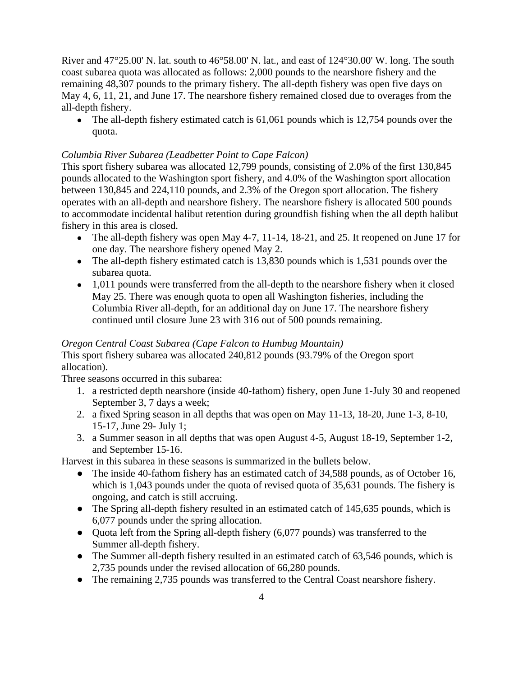River and 47°25.00' N. lat. south to 46°58.00' N. lat., and east of 124°30.00' W. long. The south coast subarea quota was allocated as follows: 2,000 pounds to the nearshore fishery and the remaining 48,307 pounds to the primary fishery. The all-depth fishery was open five days on May 4, 6, 11, 21, and June 17. The nearshore fishery remained closed due to overages from the all-depth fishery.

• The all-depth fishery estimated catch is 61,061 pounds which is 12,754 pounds over the quota.

## *Columbia River Subarea (Leadbetter Point to Cape Falcon)*

This sport fishery subarea was allocated 12,799 pounds, consisting of 2.0% of the first 130,845 pounds allocated to the Washington sport fishery, and 4.0% of the Washington sport allocation between 130,845 and 224,110 pounds, and 2.3% of the Oregon sport allocation. The fishery operates with an all-depth and nearshore fishery. The nearshore fishery is allocated 500 pounds to accommodate incidental halibut retention during groundfish fishing when the all depth halibut fishery in this area is closed.

- The all-depth fishery was open May 4-7, 11-14, 18-21, and 25. It reopened on June 17 for one day. The nearshore fishery opened May 2.
- The all-depth fishery estimated catch is 13,830 pounds which is 1,531 pounds over the subarea quota.
- 1,011 pounds were transferred from the all-depth to the nearshore fishery when it closed May 25. There was enough quota to open all Washington fisheries, including the Columbia River all-depth, for an additional day on June 17. The nearshore fishery continued until closure June 23 with 316 out of 500 pounds remaining.

# *Oregon Central Coast Subarea (Cape Falcon to Humbug Mountain)*

This sport fishery subarea was allocated 240,812 pounds (93.79% of the Oregon sport allocation).

Three seasons occurred in this subarea:

- 1. a restricted depth nearshore (inside 40-fathom) fishery, open June 1-July 30 and reopened September 3, 7 days a week;
- 2. a fixed Spring season in all depths that was open on May 11-13, 18-20, June 1-3, 8-10, 15-17, June 29- July 1;
- 3. a Summer season in all depths that was open August 4-5, August 18-19, September 1-2, and September 15-16.

Harvest in this subarea in these seasons is summarized in the bullets below.

- The inside 40-fathom fishery has an estimated catch of 34,588 pounds, as of October 16, which is 1,043 pounds under the quota of revised quota of 35,631 pounds. The fishery is ongoing, and catch is still accruing.
- The Spring all-depth fishery resulted in an estimated catch of 145,635 pounds, which is 6,077 pounds under the spring allocation.
- Quota left from the Spring all-depth fishery (6,077 pounds) was transferred to the Summer all-depth fishery.
- The Summer all-depth fishery resulted in an estimated catch of 63,546 pounds, which is 2,735 pounds under the revised allocation of 66,280 pounds.
- The remaining 2,735 pounds was transferred to the Central Coast nearshore fishery.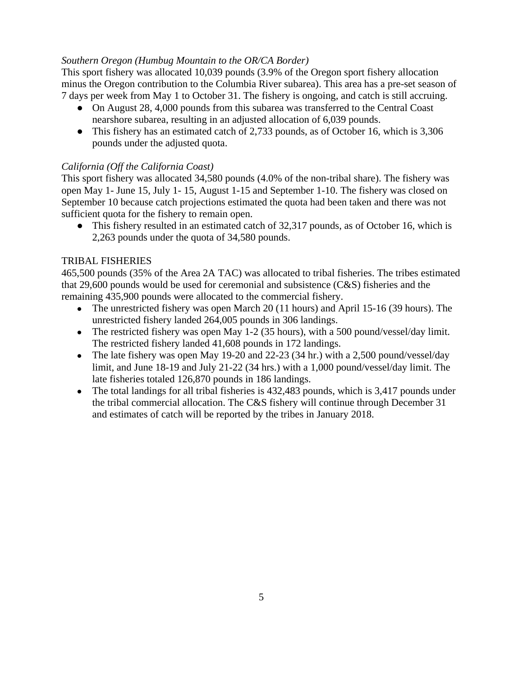## *Southern Oregon (Humbug Mountain to the OR/CA Border)*

This sport fishery was allocated 10,039 pounds (3.9% of the Oregon sport fishery allocation minus the Oregon contribution to the Columbia River subarea). This area has a pre-set season of 7 days per week from May 1 to October 31. The fishery is ongoing, and catch is still accruing.

- On August 28, 4,000 pounds from this subarea was transferred to the Central Coast nearshore subarea, resulting in an adjusted allocation of 6,039 pounds.
- This fishery has an estimated catch of 2,733 pounds, as of October 16, which is 3,306 pounds under the adjusted quota.

## *California (Off the California Coast)*

This sport fishery was allocated 34,580 pounds (4.0% of the non-tribal share). The fishery was open May 1- June 15, July 1- 15, August 1-15 and September 1-10. The fishery was closed on September 10 because catch projections estimated the quota had been taken and there was not sufficient quota for the fishery to remain open.

• This fishery resulted in an estimated catch of 32,317 pounds, as of October 16, which is 2,263 pounds under the quota of 34,580 pounds.

## TRIBAL FISHERIES

465,500 pounds (35% of the Area 2A TAC) was allocated to tribal fisheries. The tribes estimated that 29,600 pounds would be used for ceremonial and subsistence (C&S) fisheries and the remaining 435,900 pounds were allocated to the commercial fishery.

- The unrestricted fishery was open March 20 (11 hours) and April 15-16 (39 hours). The unrestricted fishery landed 264,005 pounds in 306 landings.
- The restricted fishery was open May 1-2 (35 hours), with a 500 pound/vessel/day limit. The restricted fishery landed 41,608 pounds in 172 landings.
- The late fishery was open May 19-20 and  $22-23$  (34 hr.) with a 2,500 pound/vessel/day limit, and June 18-19 and July 21-22 (34 hrs.) with a 1,000 pound/vessel/day limit. The late fisheries totaled 126,870 pounds in 186 landings.
- The total landings for all tribal fisheries is 432,483 pounds, which is 3,417 pounds under the tribal commercial allocation. The C&S fishery will continue through December 31 and estimates of catch will be reported by the tribes in January 2018.